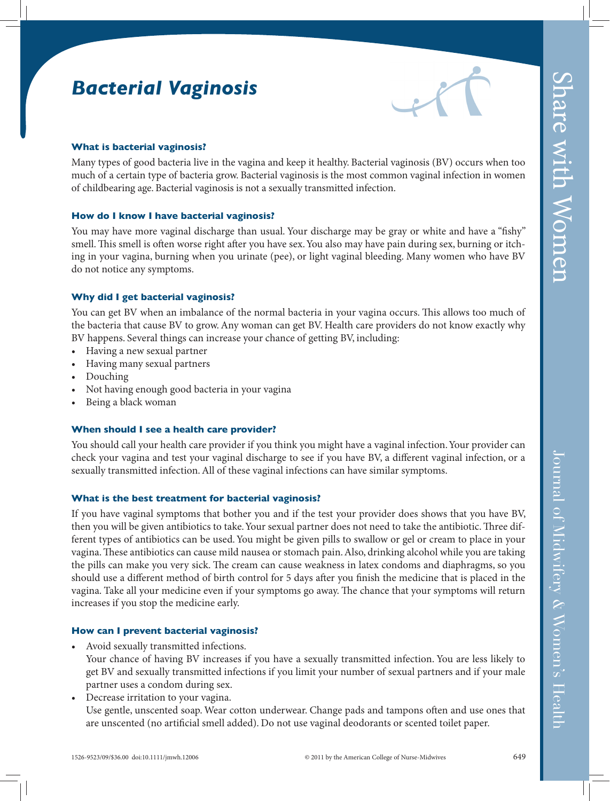# *Bacterial Vaginosis*



### **What is bacterial vaginosis?**

Many types of good bacteria live in the vagina and keep it healthy. Bacterial vaginosis (BV) occurs when too much of a certain type of bacteria grow. Bacterial vaginosis is the most common vaginal infection in women of childbearing age. Bacterial vaginosis is not a sexually transmitted infection.

#### **How do I know I have bacterial vaginosis?**

You may have more vaginal discharge than usual. Your discharge may be gray or white and have a "fishy" smell. This smell is often worse right after you have sex. You also may have pain during sex, burning or itching in your vagina, burning when you urinate (pee), or light vaginal bleeding. Many women who have BV do not notice any symptoms.

#### **Why did I get bacterial vaginosis?**

You can get BV when an imbalance of the normal bacteria in your vagina occurs. This allows too much of the bacteria that cause BV to grow. Any woman can get BV. Health care providers do not know exactly why BV happens. Several things can increase your chance of getting BV, including:

- Having a new sexual partner
- Having many sexual partners
- Douching
- Not having enough good bacteria in your vagina
- Being a black woman

#### **When should I see a health care provider?**

You should call your health care provider if you think you might have a vaginal infection. Your provider can check your vagina and test your vaginal discharge to see if you have BV, a different vaginal infection, or a sexually transmitted infection. All of these vaginal infections can have similar symptoms.

#### **What is the best treatment for bacterial vaginosis?**

If you have vaginal symptoms that bother you and if the test your provider does shows that you have BV, then you will be given antibiotics to take. Your sexual partner does not need to take the antibiotic. Three different types of antibiotics can be used. You might be given pills to swallow or gel or cream to place in your vagina. These antibiotics can cause mild nausea or stomach pain. Also, drinking alcohol while you are taking the pills can make you very sick. The cream can cause weakness in latex condoms and diaphragms, so you should use a different method of birth control for 5 days after you finish the medicine that is placed in the vagina. Take all your medicine even if your symptoms go away. The chance that your symptoms will return increases if you stop the medicine early.

#### **How can I prevent bacterial vaginosis?**

• Avoid sexually transmitted infections.

 Your chance of having BV increases if you have a sexually transmitted infection. You are less likely to get BV and sexually transmitted infections if you limit your number of sexual partners and if your male partner uses a condom during sex.

• Decrease irritation to your vagina. Use gentle, unscented soap. Wear cotton underwear. Change pads and tampons often and use ones that are unscented (no artificial smell added). Do not use vaginal deodorants or scented toilet paper.